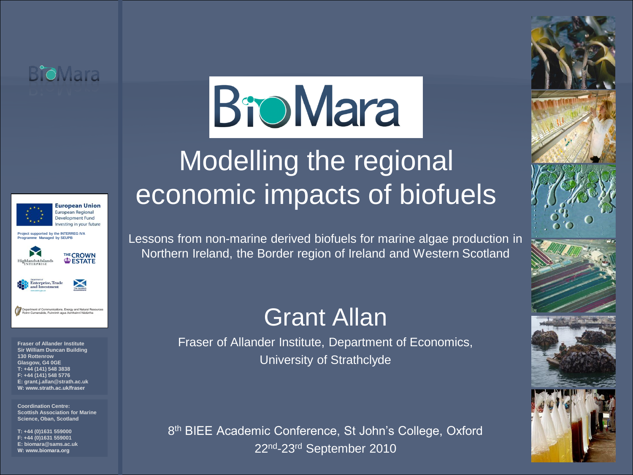



Investing in your future **Project supported by the INTERREG IVA Programme Managed by SEUPB**





tions, Energy and Natural Resou

**Fraser of Allander Institute Sir William Duncan Building 130 Rottenrow Glasgow, G4 0GE T: +44 (141) 548 3838 F: +44 (141) 548 5776 E: grant.j.allan@strath.ac.uk W: www.strath.ac.uk/fraser**

**Coordination Centre: Scottish Association for Marine Science, Oban, Scotland**

**T: +44 (0)1631 559000 F: +44 (0)1631 559001 E: biomara@sams.ac.uk W: www.biomara.org**

# **BroMara**

# Modelling the regional economic impacts of biofuels

Lessons from non-marine derived biofuels for marine algae production in Northern Ireland, the Border region of Ireland and Western Scotland

#### Grant Allan

Fraser of Allander Institute, Department of Economics, University of Strathclyde

8<sup>th</sup> BIEE Academic Conference, St John's College, Oxford 22nd-23rd September 2010

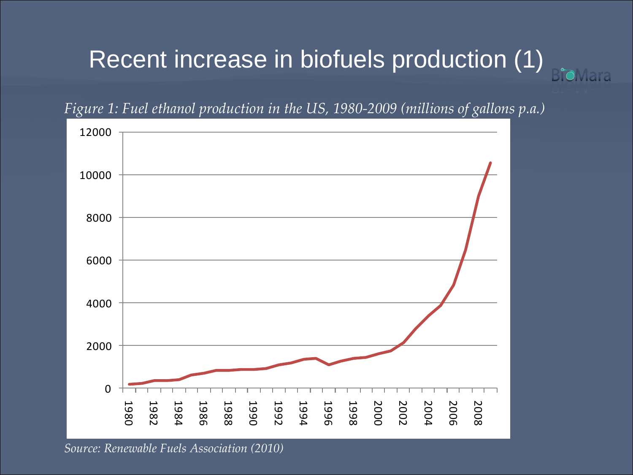# Recent increase in biofuels production (1)



*Figure 1: Fuel ethanol production in the US, 1980-2009 (millions of gallons p.a.)*

*Source: Renewable Fuels Association (2010)*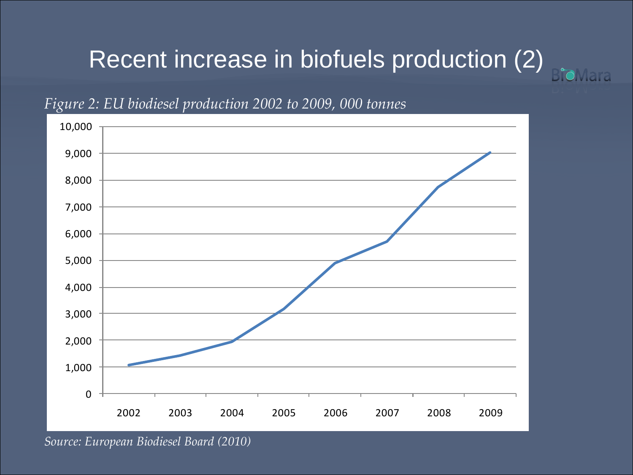# Recent increase in biofuels production (2)

**B**ioMara



#### *Figure 2: EU biodiesel production 2002 to 2009, 000 tonnes*

*Source: European Biodiesel Board (2010)*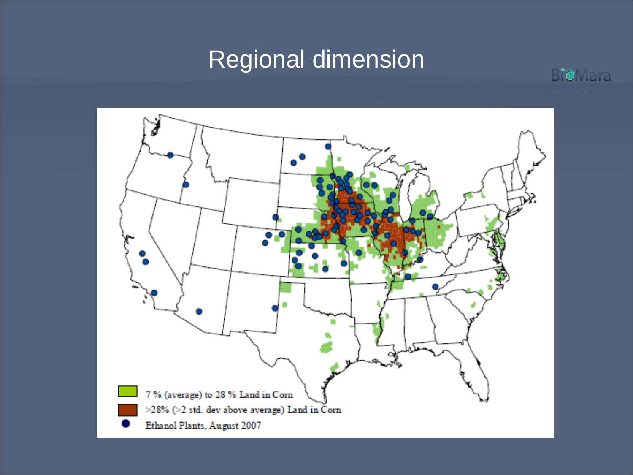# Regional dimension



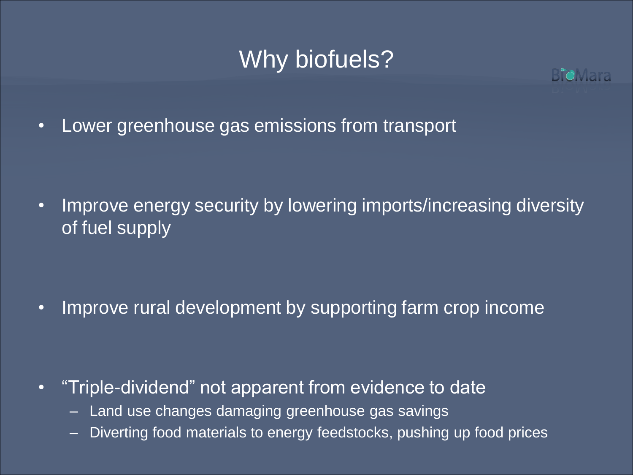# Why biofuels?



• Lower greenhouse gas emissions from transport

• Improve energy security by lowering imports/increasing diversity of fuel supply

• Improve rural development by supporting farm crop income

- "Triple-dividend" not apparent from evidence to date
	- Land use changes damaging greenhouse gas savings
	- Diverting food materials to energy feedstocks, pushing up food prices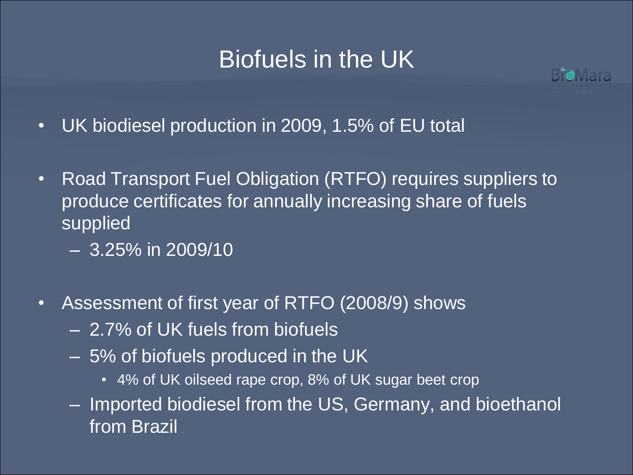### Biofuels in the UK



- UK biodiesel production in 2009, 1.5% of EU total
- Road Transport Fuel Obligation (RTFO) requires suppliers to produce certificates for annually increasing share of fuels supplied
	- 3.25% in 2009/10
- Assessment of first year of RTFO (2008/9) shows
	- 2.7% of UK fuels from biofuels
	- 5% of biofuels produced in the UK
		- 4% of UK oilseed rape crop, 8% of UK sugar beet crop
	- Imported biodiesel from the US, Germany, and bioethanol from Brazil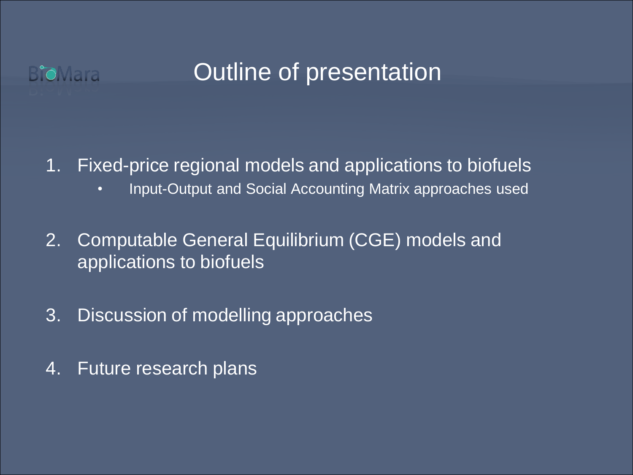

#### Outline of presentation

1. Fixed-price regional models and applications to biofuels

- Input-Output and Social Accounting Matrix approaches used
- 2. Computable General Equilibrium (CGE) models and applications to biofuels
- 3. Discussion of modelling approaches
- 4. Future research plans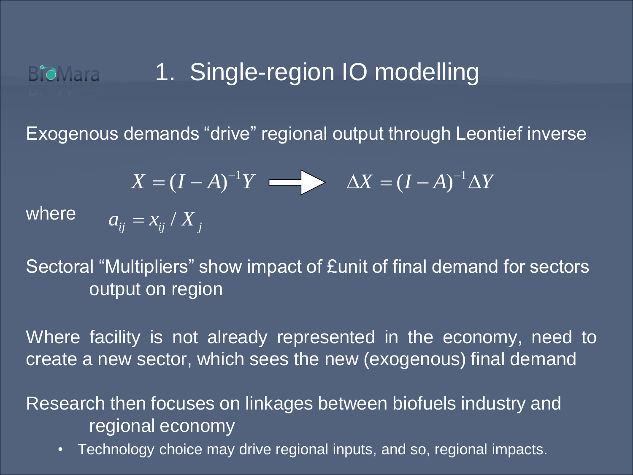#### 1. Single-region IO modelling **BioMara**

Exogenous demands "drive" regional output through Leontief inverse

$$
X = (I - A)^{-1}Y \longrightarrow \Delta X = (I - A)^{-1}\Delta Y
$$
  

$$
a_{ij} = x_{ij}/X_j
$$

where

Sectoral "Multipliers" show impact of £unit of final demand for sectors output on region

Where facility is not already represented in the economy, need to create a new sector, which sees the new (exogenous) final demand

Research then focuses on linkages between biofuels industry and regional economy

• Technology choice may drive regional inputs, and so, regional impacts.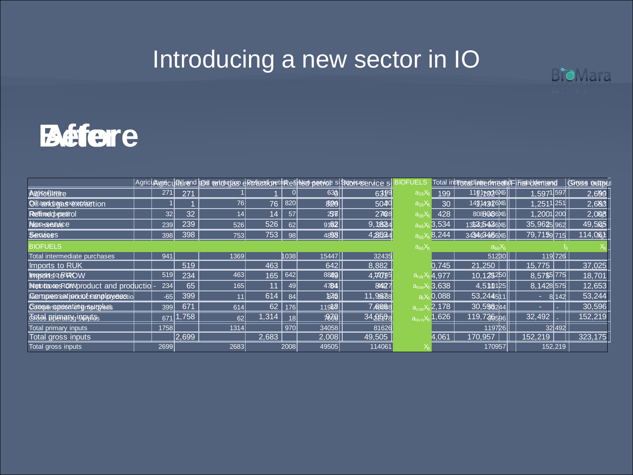### Introducing a new sector in IO

BioMara



|                                       |       |       |      |       |              |              | Agricultume di Quirend Gast extracteur di Referention di Medi Dervich supervicteur de S | JELS                             |                    | Total interpretientedemedicFificialdemand |               | Gross output |
|---------------------------------------|-------|-------|------|-------|--------------|--------------|-----------------------------------------------------------------------------------------|----------------------------------|--------------------|-------------------------------------------|---------------|--------------|
| <b>Agrificulture</b>                  | 271   | 271   |      |       | $\mathbf{0}$ | 630          | 6399                                                                                    | $a_{16}X$                        | 199                | 1101+a26X6                                | 1,5971597     | 2,699        |
| Oil and data systemation              |       |       | 76   | 76    | 820          | 800          | 5040                                                                                    | $a_{26}X_6$                      | 30                 | 143,4434686                               | $1,251$ 1,251 | 2,683        |
| <b>Refired</b> optedrol               | 32    | 32    | 4    | 14    | 57           | 256          | 2708                                                                                    | $a_{36}X_6$                      | 428                | 8088086X6                                 | 1,2001 200    | 2,008        |
| Nonsservice                           | 239   | 239   | 526  | 526   | 62           | 9182         | 9,18624                                                                                 | $a_{46}X_6$                      | 3.534              | 135335436 X6                              | 35,9625962    | 49,505       |
| <b>Services</b>                       | 398   | 398   | 753  | 753   | 98           | 4898         | 4,28524                                                                                 | a <sub>56</sub>                  | 8,244              | 343463466X6                               | 79,7159 715   | 114,0631     |
| <b>BIOFUELS</b>                       |       |       |      |       |              |              |                                                                                         | $a_{66}X_6$                      |                    | $a_{66}X_6$                               |               |              |
| Total intermediate purchases          | 941   |       | 1369 |       | ∤।038∣       | 15447        | 32435                                                                                   |                                  |                    | 51230ll                                   | 119726        |              |
| Imports to RUK                        |       | 519   |      | 463   |              | 642          | 8,882                                                                                   |                                  | 0.745              | 21.250                                    | 15.775        | 37,025       |
| Imports of ROW                        | 519   | 234   | 463  | 165   | 642          | 8849         | 4,700745                                                                                | $a_{\rm ruk}x_{\rm e}$           | ,4,977             | 10, 125250                                | 8,5755 775    | 18,701       |
| Metotaxtes RON/product and productio- | 234   | 65    | 165  | 11    | 49           | 4784         | 84927                                                                                   | $a_{\text{row}}X_6$              | <sub>6</sub> 3,638 | 4,510125                                  | 8.1428575     | 12,653       |
| Compressation dotemployeestid         | $-65$ | 399   | 11   | 614   | 84           | 1870         | 11,96678                                                                                | a. $\rangle$                     | 0,088              | 53.244511                                 | 8142          | 53,244       |
| <b>COOPS</b> repeating republics      | 399   | 671   | 614  | 62    | 176          | 11968        | 7,40668                                                                                 | $a_{\rm con}$                    | 2,178              | 30,596244                                 |               | 30,596       |
| <b>Todal primary</b> inputes          | 671   | 1,758 | 62   | 1,314 | 18           | $\sqrt{366}$ | 34,2588                                                                                 | $a_{\text{ov}}$ <sub>a</sub> $X$ | $\sqrt{1,626}$     | 119,726596                                | 32,492        | 152,219      |
| Total primary inputs                  | 1758  |       | 1314 |       | 970          | 34058        | 81626                                                                                   |                                  |                    | 1197261                                   | 32492         |              |
| Total gross inputs                    |       | 2,699 |      | 2,683 |              | 2,008        | 49,505                                                                                  |                                  | 4,061              | 170.957                                   | 152,219       | 323,175      |
| Total gross inputs                    | 2699  |       | 2683 |       | 2008         | 49505        | 114061                                                                                  |                                  |                    | 170957                                    | 152,219       |              |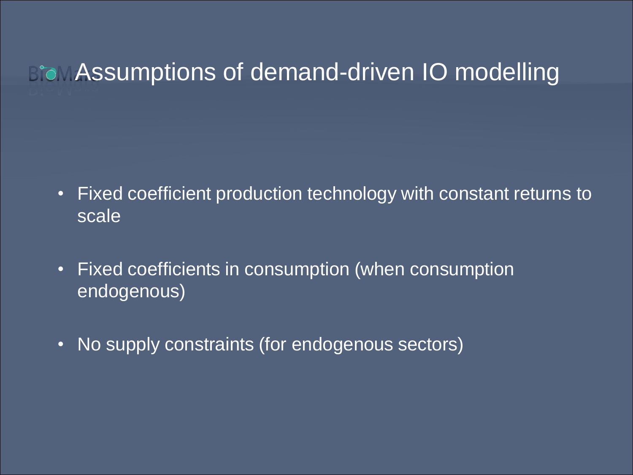### **Brow Assumptions of demand-driven IO modelling**

- Fixed coefficient production technology with constant returns to scale
- Fixed coefficients in consumption (when consumption endogenous)
- No supply constraints (for endogenous sectors)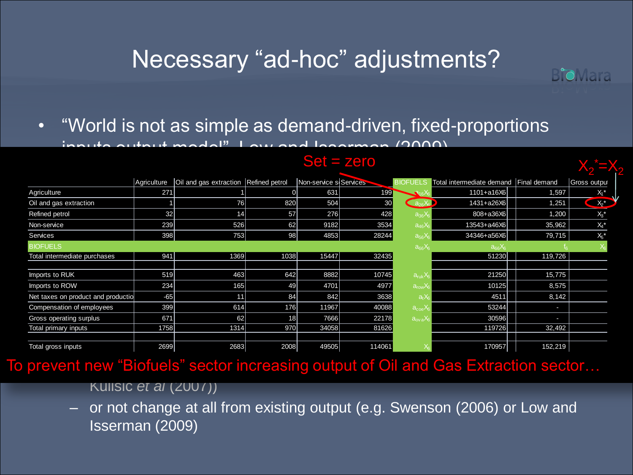# Necessary "ad-hoc" adjustments?

• "World is not as simple as demand-driven, fixed-proportions

 $inn<sub>1</sub>$  output model", Low and Isserman (2000)

|                                    |             |                                       |      | $Set = zero$           |        |                              |                                        |         |                    |
|------------------------------------|-------------|---------------------------------------|------|------------------------|--------|------------------------------|----------------------------------------|---------|--------------------|
|                                    | Agriculture | Oil and gas extraction Refined petrol |      | Non-service s Services |        |                              | Total intermediate demand Final demand |         | Gross output       |
| Agriculture                        | 271         |                                       | 0    | 631                    | 1991   |                              | $1101 + a16X6$                         | 1,597   | $X_1$ *            |
| Oil and gas extraction             |             | 76                                    | 820  | 504                    | 30     | $a_{26}X_6$                  | 1431+a26X6                             | 1,251   | $X_2^*$            |
| Refined petrol                     | 32          | 14                                    | 57   | 276                    | 428    | $a_{36}X_6$                  | $808 + a36X6$                          | 1,200   | $X_3$ <sup>*</sup> |
| Non-service                        | 239         | 526                                   | 62   | 9182                   | 3534   | $a_{46}X_6$                  | 13543+a46X6                            | 35,962  | $X_4{}^\star$      |
| Services                           | 398         | 753                                   | 98   | 4853                   | 28244  | $a_{56}X_6$                  | 34346+a56X6                            | 79,715  | $X_5$ *            |
| <b>BIOFUELS</b>                    |             |                                       |      |                        |        | $a_{66}X_6$                  | $a_{66}X_6$                            |         |                    |
| Total intermediate purchases       | 941         | 1369                                  | 1038 | 15447                  | 32435  |                              | 51230                                  | 119,726 |                    |
|                                    |             |                                       |      |                        |        |                              |                                        |         |                    |
| Imports to RUK                     | 519         | 463                                   | 642  | 8882                   | 10745  | $a_{\rm ruk}$ X              | 21250                                  | 15,775  |                    |
| Imports to ROW                     | 234         | 165                                   | 49   | 4701                   | 4977   | $a_{\text{row}}$ $X$         | 10125                                  | 8,575   |                    |
| Net taxes on product and productio | $-65$       | 11                                    | 84   | 842                    | 3638   | $a_{i}$                      | 4511                                   | 8,142   |                    |
| Compensation of employees          | 399         | 614                                   | 176  | 11967                  | 40088  | $a_{\rm coe}$                | 53244                                  | ı       |                    |
| Gross operating surplus            | 671         | 62                                    | 18   | 7666                   | 22178  | $a_{\text{ov}}aX_{\text{e}}$ | 30596                                  | ı       |                    |
| Total primary inputs               | 1758        | 1314                                  | 970  | 34058                  | 81626  |                              | 119726                                 | 32,492  |                    |
| Total gross inputs                 | 2699        | 2683                                  | 2008 | 49505                  | 114061 |                              | 170957                                 | 152,219 |                    |

Set = zero

**B'oMara** 

To prevent new "Biofuels" sector increasing output of Oil and Gas Extraction sector...

Kulisic *et al* (2007))

– or not change at all from existing output (e.g. Swenson (2006) or Low and Isserman (2009)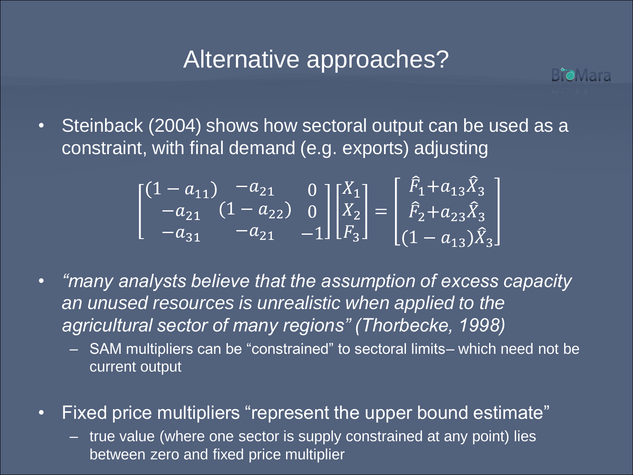### Alternative approaches?

**B'oMara** 

• Steinback (2004) shows how sectoral output can be used as a constraint, with final demand (e.g. exports) adjusting

$$
\begin{bmatrix} (1 - a_{11}) & -a_{21} & 0 \ -a_{21} & (1 - a_{22}) & 0 \ -a_{31} & -a_{21} & -1 \end{bmatrix} \begin{bmatrix} X_1 \ X_2 \ F_3 \end{bmatrix} = \begin{bmatrix} \tilde{F}_1 + a_{13} \tilde{X}_3 \ \tilde{F}_2 + a_{23} \tilde{X}_3 \ (1 - a_{13}) \tilde{X}_3 \end{bmatrix}
$$

- *"many analysts believe that the assumption of excess capacity an unused resources is unrealistic when applied to the agricultural sector of many regions" (Thorbecke, 1998)*
	- SAM multipliers can be "constrained" to sectoral limits– which need not be current output
- Fixed price multipliers "represent the upper bound estimate"
	- true value (where one sector is supply constrained at any point) lies between zero and fixed price multiplier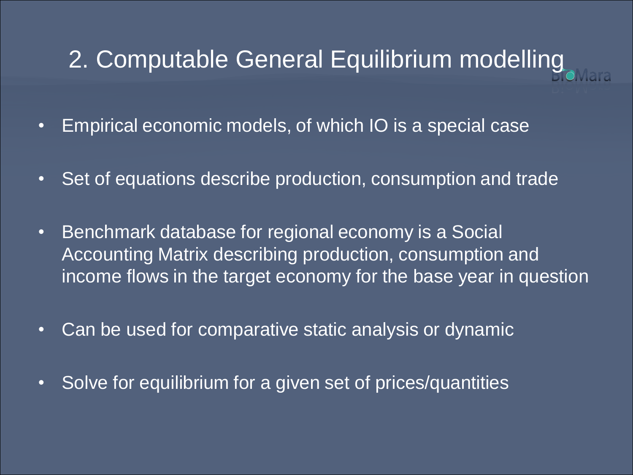# 2. Computable General Equilibrium modelling

- Empirical economic models, of which IO is a special case
- Set of equations describe production, consumption and trade
- Benchmark database for regional economy is a Social Accounting Matrix describing production, consumption and income flows in the target economy for the base year in question
- Can be used for comparative static analysis or dynamic
- Solve for equilibrium for a given set of prices/quantities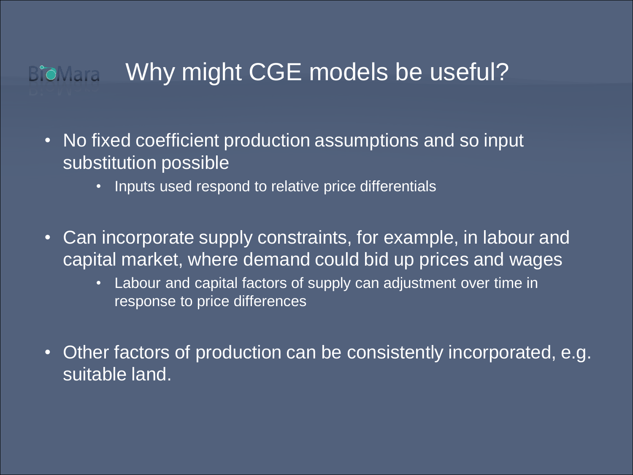**BioMara** 

### Why might CGE models be useful?

- No fixed coefficient production assumptions and so input substitution possible
	- Inputs used respond to relative price differentials
- Can incorporate supply constraints, for example, in labour and capital market, where demand could bid up prices and wages
	- Labour and capital factors of supply can adjustment over time in response to price differences
- Other factors of production can be consistently incorporated, e.g. suitable land.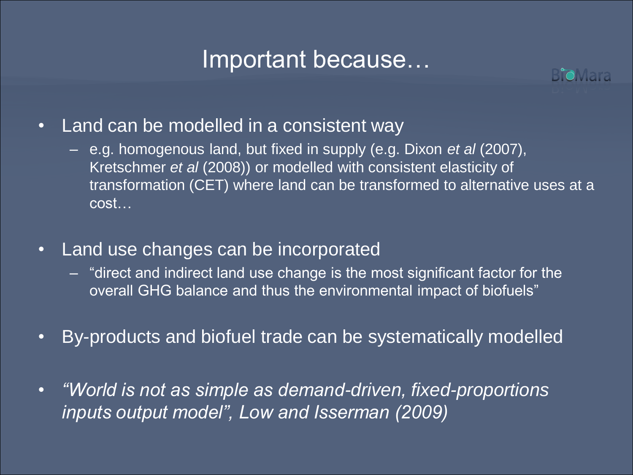#### Important because…



- Land can be modelled in a consistent way
	- e.g. homogenous land, but fixed in supply (e.g. Dixon *et al* (2007), Kretschmer *et al* (2008)) or modelled with consistent elasticity of transformation (CET) where land can be transformed to alternative uses at a cost…
- Land use changes can be incorporated
	- "direct and indirect land use change is the most significant factor for the overall GHG balance and thus the environmental impact of biofuels"
- By-products and biofuel trade can be systematically modelled
- *"World is not as simple as demand-driven, fixed-proportions inputs output model", Low and Isserman (2009)*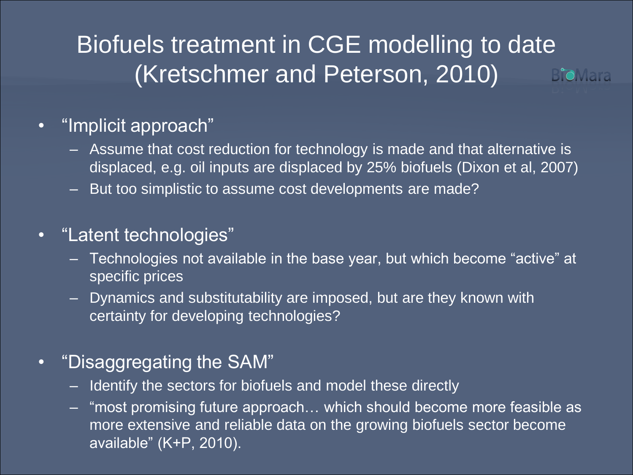#### Biofuels treatment in CGE modelling to date (Kretschmer and Peterson, 2010) **B'oMara**

#### • "Implicit approach"

- Assume that cost reduction for technology is made and that alternative is displaced, e.g. oil inputs are displaced by 25% biofuels (Dixon et al, 2007)
- But too simplistic to assume cost developments are made?

#### • "Latent technologies"

- Technologies not available in the base year, but which become "active" at specific prices
- Dynamics and substitutability are imposed, but are they known with certainty for developing technologies?

#### • "Disaggregating the SAM"

- Identify the sectors for biofuels and model these directly
- "most promising future approach… which should become more feasible as more extensive and reliable data on the growing biofuels sector become available" (K+P, 2010).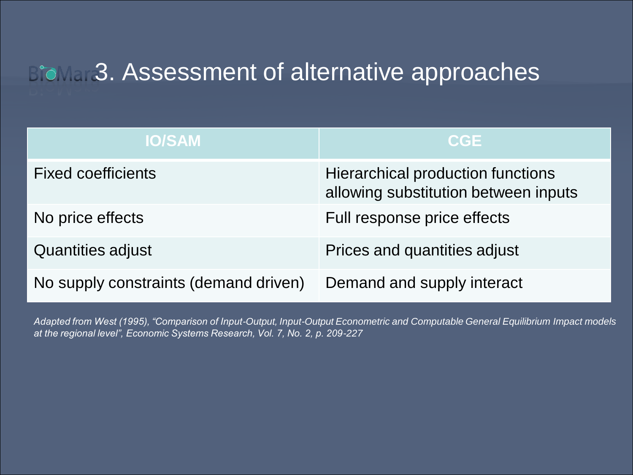### **Biomedia** 3. Assessment of alternative approaches

| <b>IO/SAM</b>                         | <b>CGE</b>                                                                |
|---------------------------------------|---------------------------------------------------------------------------|
| <b>Fixed coefficients</b>             | Hierarchical production functions<br>allowing substitution between inputs |
| No price effects                      | Full response price effects                                               |
| <b>Quantities adjust</b>              | Prices and quantities adjust                                              |
| No supply constraints (demand driven) | Demand and supply interact                                                |

*Adapted from West (1995), "Comparison of Input-Output, Input-Output Econometric and Computable General Equilibrium Impact models at the regional level", Economic Systems Research, Vol. 7, No. 2, p. 209-227*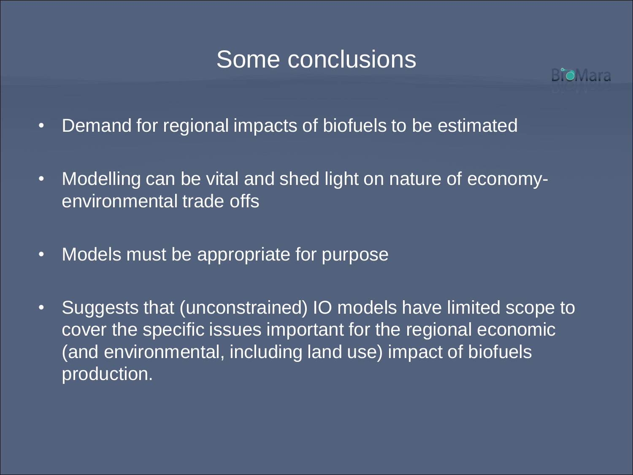#### Some conclusions



- Demand for regional impacts of biofuels to be estimated
- Modelling can be vital and shed light on nature of economyenvironmental trade offs
- Models must be appropriate for purpose
- Suggests that (unconstrained) IO models have limited scope to cover the specific issues important for the regional economic (and environmental, including land use) impact of biofuels production.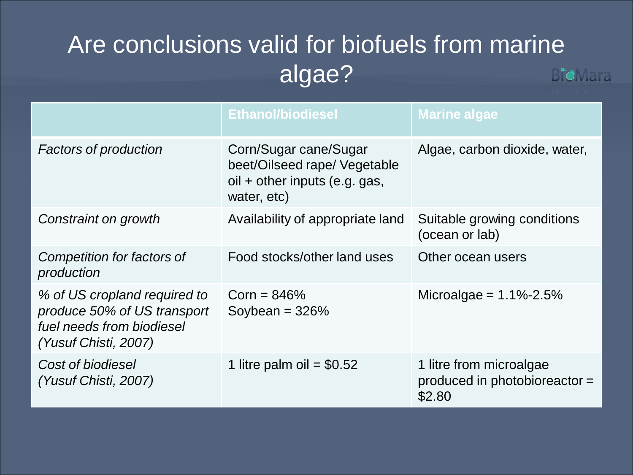#### Are conclusions valid for biofuels from marine algae? **B'oMara**

|                                                                                                                  | <b>Ethanol/biodiesel</b>                                                                              | <b>Marine algae</b>                                                |
|------------------------------------------------------------------------------------------------------------------|-------------------------------------------------------------------------------------------------------|--------------------------------------------------------------------|
| <b>Factors of production</b>                                                                                     | Corn/Sugar cane/Sugar<br>beet/Oilseed rape/ Vegetable<br>oil + other inputs (e.g. gas,<br>water, etc) | Algae, carbon dioxide, water,                                      |
| Constraint on growth                                                                                             | Availability of appropriate land                                                                      | Suitable growing conditions<br>(ocean or lab)                      |
| Competition for factors of<br>production                                                                         | Food stocks/other land uses                                                                           | Other ocean users                                                  |
| % of US cropland required to<br>produce 50% of US transport<br>fuel needs from biodiesel<br>(Yusuf Chisti, 2007) | $Corn = 846%$<br>Soybean = $326%$                                                                     | Microalgae = $1.1\% - 2.5\%$                                       |
| Cost of biodiesel<br>(Yusuf Chisti, 2007)                                                                        | 1 litre palm oil = $$0.52$                                                                            | 1 litre from microalgae<br>produced in photobioreactor =<br>\$2.80 |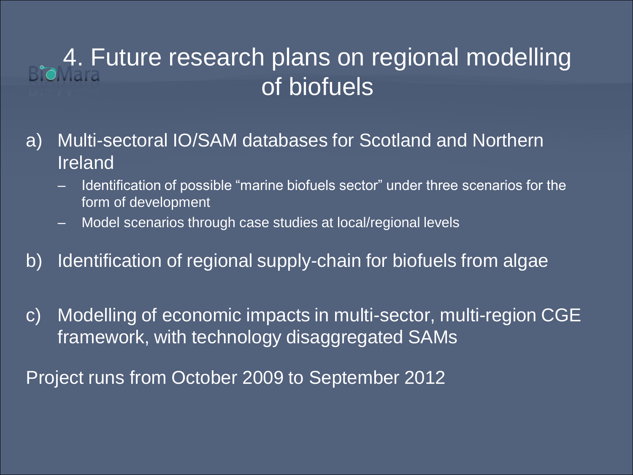# **4. Future research plans on regional modelling** of biofuels

- a) Multi-sectoral IO/SAM databases for Scotland and Northern Ireland
	- Identification of possible "marine biofuels sector" under three scenarios for the form of development
	- Model scenarios through case studies at local/regional levels
- b) Identification of regional supply-chain for biofuels from algae
- c) Modelling of economic impacts in multi-sector, multi-region CGE framework, with technology disaggregated SAMs

Project runs from October 2009 to September 2012